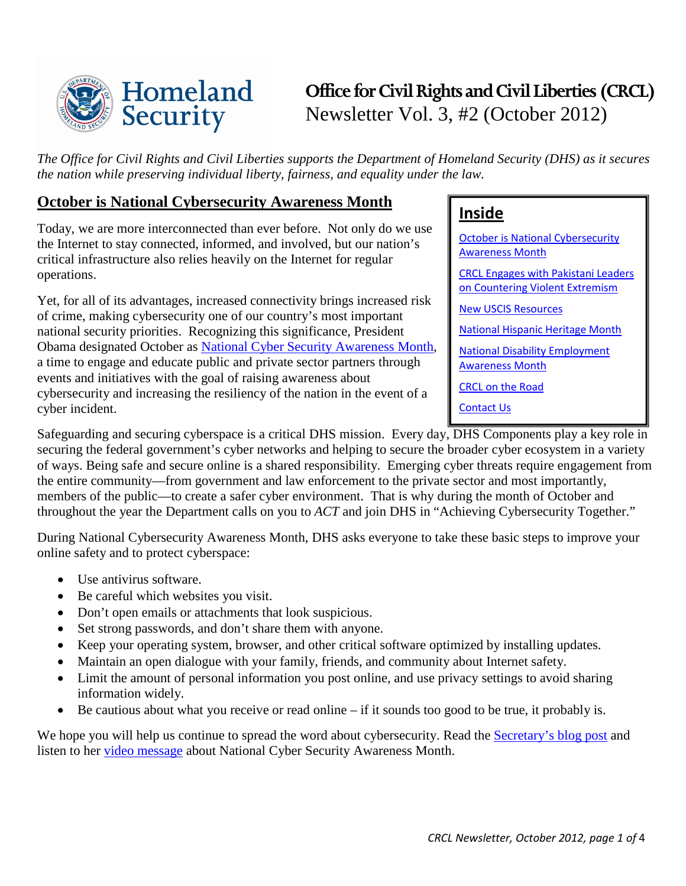

# **Office for Civil Rights and Civil Liberties (CRCL)** Newsletter Vol. 3, #2 (October 2012)

*The Office for Civil Rights and Civil Liberties supports the Department of Homeland Security (DHS) as it secures the nation while preserving individual liberty, fairness, and equality under the law.* 

### <span id="page-0-0"></span>**October is National Cybersecurity Awareness Month**

Today, we are more interconnected than ever before. Not only do we use the Internet to stay connected, informed, and involved, but our nation's critical infrastructure also relies heavily on the Internet for regular operations.

Yet, for all of its advantages, increased connectivity brings increased risk of crime, making cybersecurity one of our country's most important national security priorities. Recognizing this significance, President Obama designated October as National Cyber Security [Awareness](http://www.dhs.gov/national-cyber-security-awareness-month) Month, a time to engage and educate public and private sector partners through events and initiatives with the goal of raising awareness about cybersecurity and increasing the resiliency of the nation in the event of a cyber incident.

# **Inside**

[October is National Cybersecurity](#page-0-0)  [Awareness Month](#page-0-0)

[CRCL Engages with Pakistani Leaders](#page-1-0)  [on Countering Violent Extremism](#page-1-0)

[New USCIS Resources](#page-1-1)

[National Hispanic Heritage Month](#page-2-0)

[National Disability Employment](#page-2-1)  [Awareness Month](#page-2-1)

[CRCL on the Road](#page-2-2)

[Contact Us](#page-3-0)

Safeguarding and securing cyberspace is a critical DHS mission. Every day, DHS Components play a key role in securing the federal government's cyber networks and helping to secure the broader cyber ecosystem in a variety of ways. Being safe and secure online is a shared responsibility. Emerging cyber threats require engagement from the entire community—from government and law enforcement to the private sector and most importantly, members of the public—to create a safer cyber environment. That is why during the month of October and throughout the year the Department calls on you to *ACT* and join DHS in "Achieving Cybersecurity Together."

During National Cybersecurity Awareness Month, DHS asks everyone to take these basic steps to improve your online safety and to protect cyberspace:

- Use antivirus software.
- Be careful which websites you visit.
- Don't open emails or attachments that look suspicious.
- Set strong passwords, and don't share them with anyone.
- Keep your operating system, browser, and other critical software optimized by installing updates.
- Maintain an open dialogue with your family, friends, and community about Internet safety.
- Limit the amount of personal information you post online, and use privacy settings to avoid sharing information widely.
- Be cautious about what you receive or read online if it sounds too good to be true, it probably is.

We hope you will help us continue to spread the word about cybersecurity. Read the **Secretary's blog post** and listen to her [video message](http://www.dhs.gov/video/secretary-napolitanos-cybersecurity-message) about National Cyber Security Awareness Month.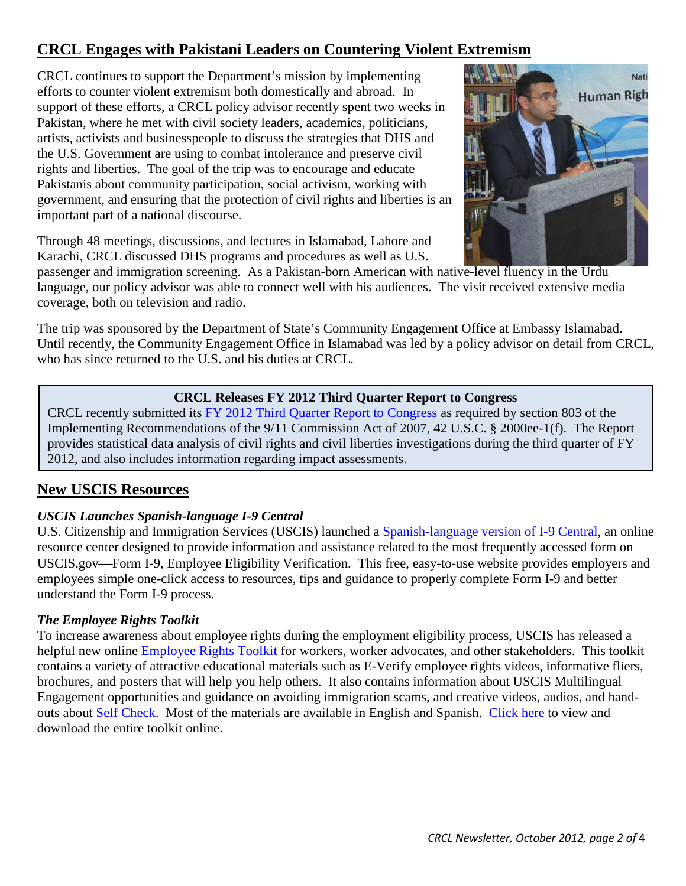# <span id="page-1-0"></span>**CRCL Engages with Pakistani Leaders on Countering Violent Extremism**

CRCL continues to support the Department's mission by implementing efforts to counter violent extremism both domestically and abroad. In support of these efforts, a CRCL policy advisor recently spent two weeks in Pakistan, where he met with civil society leaders, academics, politicians, artists, activists and businesspeople to discuss the strategies that DHS and the U.S. Government are using to combat intolerance and preserve civil rights and liberties. The goal of the trip was to encourage and educate Pakistanis about community participation, social activism, working with government, and ensuring that the protection of civil rights and liberties is an important part of a national discourse.

Through 48 meetings, discussions, and lectures in Islamabad, Lahore and Karachi, CRCL discussed DHS programs and procedures as well as U.S.



passenger and immigration screening. As a Pakistan-born American with native-level fluency in the Urdu language, our policy advisor was able to connect well with his audiences. The visit received extensive media coverage, both on television and radio.

The trip was sponsored by the Department of State's Community Engagement Office at Embassy Islamabad. Until recently, the Community Engagement Office in Islamabad was led by a policy advisor on detail from CRCL, who has since returned to the U.S. and his duties at CRCL.

### **CRCL Releases FY 2012 Third Quarter Report to Congress**

CRCL recently submitted its [FY 2012 Third Quarter Report to Congress](http://www.dhs.gov/sites/default/files/publications/crcl-quarterly-report-fy-2012-q3_0.pdf) as required by section 803 of the Implementing Recommendations of the 9/11 Commission Act of 2007, 42 U.S.C. § 2000ee-1(f). The Report provides statistical data analysis of civil rights and civil liberties investigations during the third quarter of FY 2012, and also includes information regarding impact assessments.

### <span id="page-1-1"></span>**New USCIS Resources**

### *USCIS Launches Spanish-language I-9 Central*

U.S. Citizenship and Immigration Services (USCIS) launched a [Spanish-language version of I-9 Central,](http://www.uscis.gov/portal/site/uscis-es/menuitem.e693c9cf3c2f7d18d52fae1074a191a0/?vgnextoid=46b65b0325a29310VgnVCM100000082ca60aRCRD&vgnextchannel=46b65b0325a29310VgnVCM100000082ca60aRCRD) an online resource center designed to provide information and assistance related to the most frequently accessed form on USCIS.gov—Form I-9, Employee Eligibility Verification. This free, easy-to-use website provides employers and employees simple one-click access to resources, tips and guidance to properly complete Form I-9 and better understand the Form I-9 process.

### *The Employee Rights Toolkit*

To increase awareness about employee rights during the employment eligibility process, USCIS has released a helpful new online [Employee Rights Toolkit](http://www.uscis.gov/portal/site/uscis/menuitem.eb1d4c2a3e5b9ac89243c6a7543f6d1a/?vgnextoid=ef35f8049c00a310VgnVCM100000082ca60aRCRD&vgnextchannel=ef35f8049c00a310VgnVCM100000082ca60aRCRD) for workers, worker advocates, and other stakeholders. This toolkit contains a variety of attractive educational materials such as E-Verify employee rights videos, informative fliers, brochures, and posters that will help you help others. It also contains information about USCIS Multilingual Engagement opportunities and guidance on avoiding immigration scams, and creative videos, audios, and hand-outs about [Self Check.](http://www.uscis.gov/portal/site/uscis/menuitem.eb1d4c2a3e5b9ac89243c6a7543f6d1a/?vgnextoid=2ec07cd67450d210VgnVCM100000082ca60aRCRD&vgnextchannel=2ec07cd67450d210VgnVCM100000082ca60aRCRD) Most of the materials are available in English and Spanish. [Click here](http://www.uscis.gov/portal/site/uscis/menuitem.eb1d4c2a3e5b9ac89243c6a7543f6d1a/?vgnextoid=ef35f8049c00a310VgnVCM100000082ca60aRCRD&vgnextchannel=ef35f8049c00a310VgnVCM100000082ca60aRCRD) to view and download the entire toolkit online.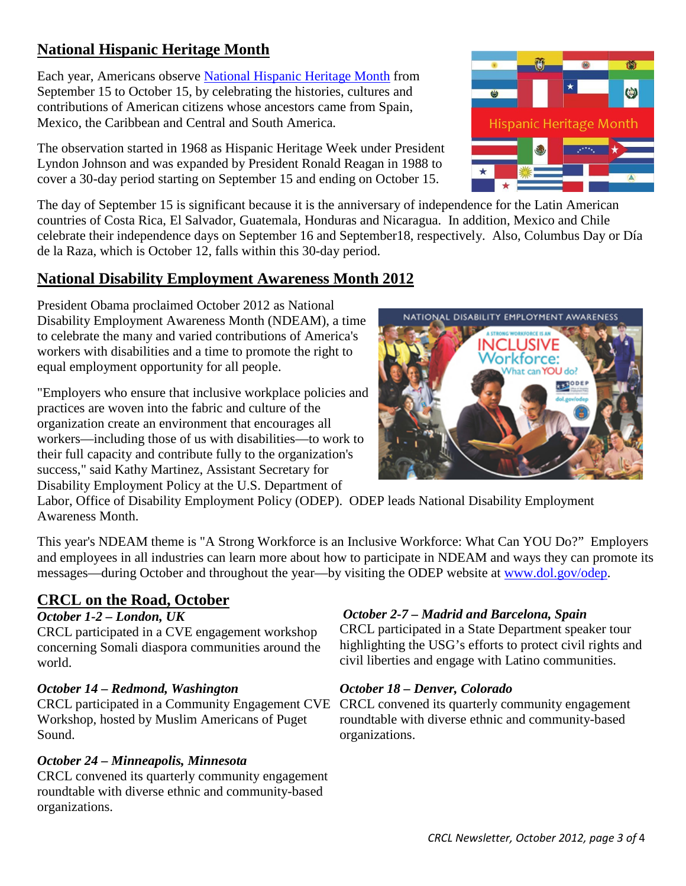## <span id="page-2-0"></span>**National Hispanic Heritage Month**

Each year, Americans observe [National Hispanic Heritage Month](http://hispanicheritagemonth.gov/) from September 15 to October 15, by celebrating the histories, cultures and contributions of American citizens whose ancestors came from Spain, Mexico, the Caribbean and Central and South America.

The observation started in 1968 as Hispanic Heritage Week under President Lyndon Johnson and was expanded by President Ronald Reagan in 1988 to cover a 30-day period starting on September 15 and ending on October 15.

The day of September 15 is significant because it is the anniversary of independence for the Latin American countries of Costa Rica, El Salvador, Guatemala, Honduras and Nicaragua. In addition, Mexico and Chile celebrate their independence days on September 16 and September18, respectively. Also, Columbus Day or Día de la Raza, which is October 12, falls within this 30-day period.

### <span id="page-2-1"></span>**National Disability Employment Awareness Month 2012**

President Obama proclaimed October 2012 as National Disability Employment Awareness Month (NDEAM), a time to celebrate the many and varied contributions of America's workers with disabilities and a time to promote the right to equal employment opportunity for all people.

"Employers who ensure that inclusive workplace policies and practices are woven into the fabric and culture of the organization create an environment that encourages all workers—including those of us with disabilities—to work to their full capacity and contribute fully to the organization's success," said Kathy Martinez, Assistant Secretary for Disability Employment Policy at the U.S. Department of



Labor, Office of Disability Employment Policy (ODEP). ODEP leads National Disability Employment Awareness Month.

This year's NDEAM theme is "A Strong Workforce is an Inclusive Workforce: What Can YOU Do?" Employers and employees in all industries can learn more about how to participate in NDEAM and ways they can promote its messages—during October and throughout the year—by visiting the ODEP website at [www.dol.gov/odep.](http://www.dol.gov/odep/)

### <span id="page-2-2"></span>**CRCL on the Road, October**

### *October 1-2 – London, UK*

CRCL participated in a CVE engagement workshop concerning Somali diaspora communities around the world.

### *October 14 – Redmond, Washington*

Workshop, hosted by Muslim Americans of Puget Sound.

### *October 24 – Minneapolis, Minnesota*

CRCL convened its quarterly community engagement roundtable with diverse ethnic and community-based organizations.

### *October 2-7 – Madrid and Barcelona, Spain*

CRCL participated in a State Department speaker tour highlighting the USG's efforts to protect civil rights and civil liberties and engage with Latino communities.

### *October 18 – Denver, Colorado*

CRCL participated in a Community Engagement CVE CRCL convened its quarterly community engagement roundtable with diverse ethnic and community-based organizations.



Hispanic Heritage Month